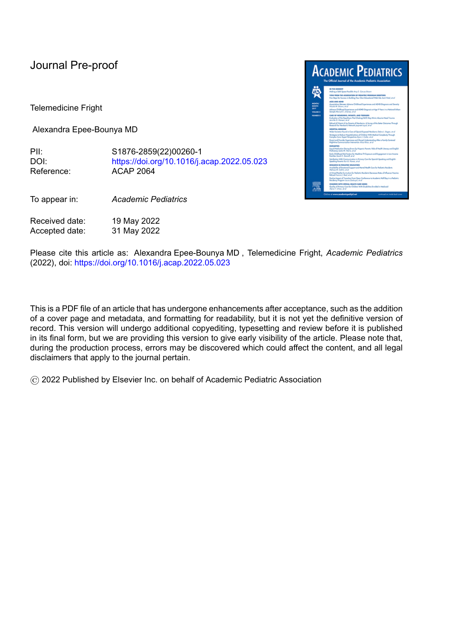## Journal Pre-proof

Telemedicine Fright

Alexandra Epee-Bounya MD

PII: S1876-2859(22)00260-1 DOI: <https://doi.org/10.1016/j.acap.2022.05.023> Reference: ACAP 2064

To appear in: *Academic Pediatrics*

Received date: 19 May 2022 Accepted date: 31 May 2022



Please cite this article as: Alexandra Epee-Bounya MD , Telemedicine Fright, *Academic Pediatrics* (2022), doi: <https://doi.org/10.1016/j.acap.2022.05.023>

This is a PDF file of an article that has undergone enhancements after acceptance, such as the addition of a cover page and metadata, and formatting for readability, but it is not yet the definitive version of record. This version will undergo additional copyediting, typesetting and review before it is published in its final form, but we are providing this version to give early visibility of the article. Please note that, during the production process, errors may be discovered which could affect the content, and all legal disclaimers that apply to the journal pertain.

© 2022 Published by Elsevier Inc. on behalf of Academic Pediatric Association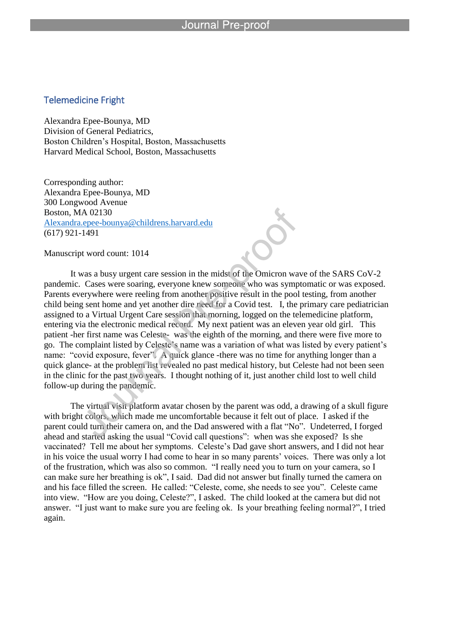## Telemedicine Fright

Alexandra Epee-Bounya, MD Division of General Pediatrics, Boston Children's Hospital, Boston, Massachusetts Harvard Medical School, Boston, Massachusetts

l

Corresponding author: Alexandra Epee-Bounya, MD 300 Longwood Avenue Boston, MA 02130 Alexandra.epee-bounya@childrens.harvard.edu (617) 921-1491

Manuscript word count: 1014

It was a busy urgent care session in the midst of the Omicron wave of the SARS CoV-2 pandemic. Cases were soaring, everyone knew someone who was symptomatic or was exposed. Parents everywhere were reeling from another positive result in the pool testing, from another child being sent home and yet another dire need for a Covid test. I, the primary care pediatrician assigned to a Virtual Urgent Care session that morning, logged on the telemedicine platform, entering via the electronic medical record. My next patient was an eleven year old girl. This patient -her first name was Celeste- was the eighth of the morning, and there were five more to go. The complaint listed by Celeste's name was a variation of what was listed by every patient's name: "covid exposure, fever". A quick glance -there was no time for anything longer than a quick glance- at the problem list revealed no past medical history, but Celeste had not been seen in the clinic for the past two years. I thought nothing of it, just another child lost to well child follow-up during the pandemic.

The virtual visit platform avatar chosen by the parent was odd, a drawing of a skull figure with bright colors, which made me uncomfortable because it felt out of place. I asked if the parent could turn their camera on, and the Dad answered with a flat "No". Undeterred, I forged ahead and started asking the usual "Covid call questions": when was she exposed? Is she vaccinated? Tell me about her symptoms. Celeste's Dad gave short answers, and I did not hear in his voice the usual worry I had come to hear in so many parents' voices. There was only a lot of the frustration, which was also so common. "I really need you to turn on your camera, so I can make sure her breathing is ok", I said. Dad did not answer but finally turned the camera on and his face filled the screen. He called: "Celeste, come, she needs to see you". Celeste came into view. "How are you doing, Celeste?", I asked. The child looked at the camera but did not answer. "I just want to make sure you are feeling ok. Is your breathing feeling normal?", I tried again.